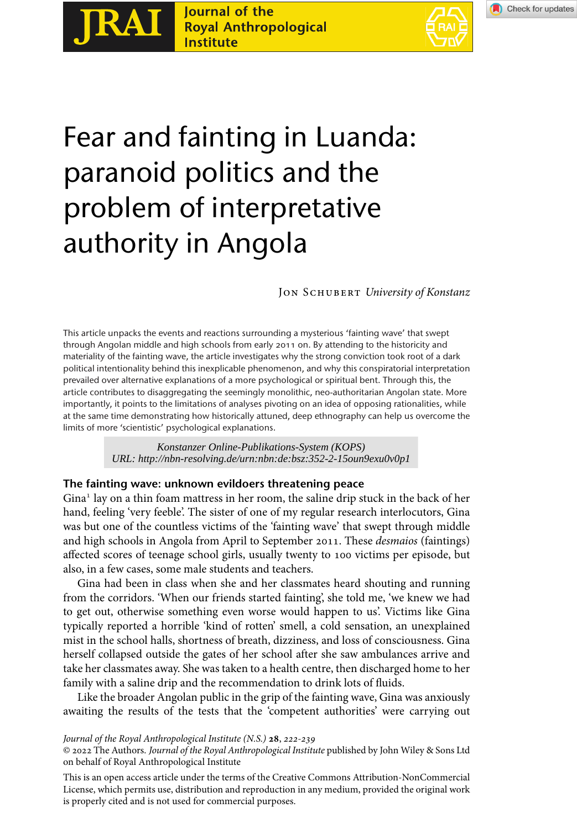Journal of the **Royal Anthropological Institute** 

**RAI** 



# Fear and fainting in Luanda: paranoid politics and the problem of interpretative authority in Angola

Jon Schubert *University of Konstanz*

This article unpacks the events and reactions surrounding a mysterious 'fainting wave' that swept through Angolan middle and high schools from early 2011 on. By attending to the historicity and materiality of the fainting wave, the article investigates why the strong conviction took root of a dark political intentionality behind this inexplicable phenomenon, and why this conspiratorial interpretation prevailed over alternative explanations of a more psychological or spiritual bent. Through this, the article contributes to disaggregating the seemingly monolithic, neo-authoritarian Angolan state. More importantly, it points to the limitations of analyses pivoting on an idea of opposing rationalities, while at the same time demonstrating how historically attuned, deep ethnography can help us overcome the limits of more 'scientistic' psychological explanations.

*URL: http://nbn-resolving.de/urn:nbn:de:bsz:352-2-15oun9exu0v0p1*

## **The fainting wave: unknown evildoers threatening peace**

Gina<sup>1</sup> lay on a thin foam mattress in her room, the saline drip stuck in the back of her hand, feeling 'very feeble'. The sister of one of my regular research interlocutors, Gina was but one of the countless victims of the 'fainting wave' that swept through middle and high schools in Angola from April to September 2011. These *desmaios* (faintings) affected scores of teenage school girls, usually twenty to 100 victims per episode, but also, in a few cases, some male students and teachers.

Gina had been in class when she and her classmates heard shouting and running from the corridors. 'When our friends started fainting', she told me, 'we knew we had to get out, otherwise something even worse would happen to us'. Victims like Gina typically reported a horrible 'kind of rotten' smell, a cold sensation, an unexplained mist in the school halls, shortness of breath, dizziness, and loss of consciousness. Gina herself collapsed outside the gates of her school after she saw ambulances arrive and take her classmates away. She was taken to a health centre, then discharged home to her family with a saline drip and the recommendation to drink lots of fluids. *Konstanzer Online-Publikations-System (KOPS)*<br>The fainting wave: unknown evildoers threatening peace<br>Gina<sup>1</sup> lay on a thin foam matterss in her room, the saline drip st<br>Gina<sup>1</sup> lay on a thin foam matters in her room, the

Like the broader Angolan public in the grip of the fainting wave, Gina was anxiously awaiting the results of the tests that the 'competent authorities' were carrying out

*Journal of the Royal Anthropological Institute (N.S.)* **28**, 222-239

<sup>© 2022</sup> The Authors. *Journal of the Royal Anthropological Institute* published by John Wiley & Sons Ltd on behalf of Royal Anthropological Institute

This is an open access article under the terms of the [Creative Commons Attribution-NonCommercial](http://creativecommons.org/licenses/by-nc/4.0/) License, which permits use, distribution and reproduction in any medium, provided the original work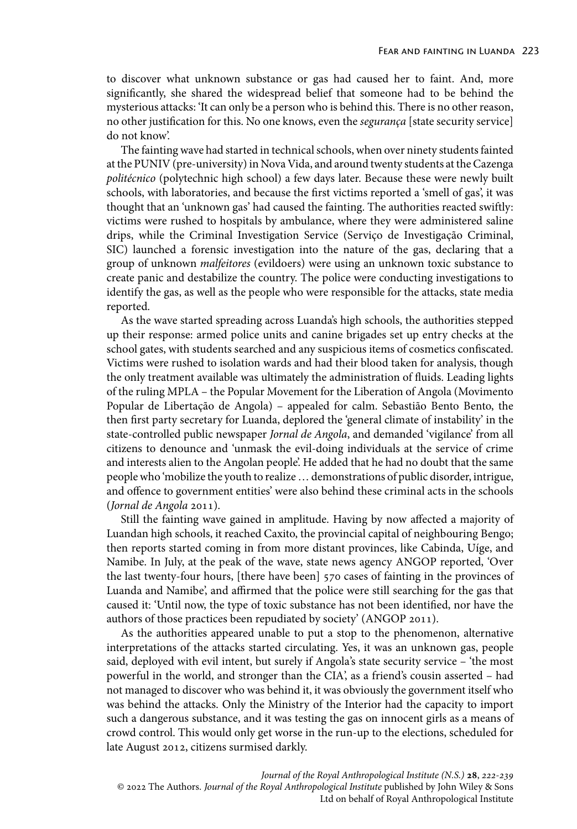to discover what unknown substance or gas had caused her to faint. And, more significantly, she shared the widespread belief that someone had to be behind the mysterious attacks: 'It can only be a person who is behind this. There is no other reason, no other justification for this. No one knows, even the *segurança* [state security service] do not know'.

The fainting wave had started in technical schools, when over ninety students fainted at the PUNIV (pre-university) in Nova Vida, and around twenty students at the Cazenga *politécnico* (polytechnic high school) a few days later. Because these were newly built schools, with laboratories, and because the first victims reported a 'smell of gas', it was thought that an 'unknown gas' had caused the fainting. The authorities reacted swiftly: victims were rushed to hospitals by ambulance, where they were administered saline drips, while the Criminal Investigation Service (Serviço de Investigação Criminal, SIC) launched a forensic investigation into the nature of the gas, declaring that a group of unknown *malfeitores* (evildoers) were using an unknown toxic substance to create panic and destabilize the country. The police were conducting investigations to identify the gas, as well as the people who were responsible for the attacks, state media reported.

As the wave started spreading across Luanda's high schools, the authorities stepped up their response: armed police units and canine brigades set up entry checks at the school gates, with students searched and any suspicious items of cosmetics confiscated. Victims were rushed to isolation wards and had their blood taken for analysis, though the only treatment available was ultimately the administration of fluids. Leading lights of the ruling MPLA – the Popular Movement for the Liberation of Angola (Movimento Popular de Libertação de Angola) – appealed for calm. Sebastião Bento Bento, the then first party secretary for Luanda, deplored the 'general climate of instability' in the state-controlled public newspaper *Jornal de Angola*, and demanded 'vigilance' from all citizens to denounce and 'unmask the evil-doing individuals at the service of crime and interests alien to the Angolan people'. He added that he had no doubt that the same people who 'mobilize the youth to realize… demonstrations of public disorder, intrigue, and offence to government entities' were also behind these criminal acts in the schools (*Jornal de Angola* 2011).

Still the fainting wave gained in amplitude. Having by now affected a majority of Luandan high schools, it reached Caxito, the provincial capital of neighbouring Bengo; then reports started coming in from more distant provinces, like Cabinda, Uíge, and Namibe. In July, at the peak of the wave, state news agency ANGOP reported, 'Over the last twenty-four hours, [there have been] 570 cases of fainting in the provinces of Luanda and Namibe', and affirmed that the police were still searching for the gas that caused it: 'Until now, the type of toxic substance has not been identified, nor have the authors of those practices been repudiated by society' (ANGOP 2011).

As the authorities appeared unable to put a stop to the phenomenon, alternative interpretations of the attacks started circulating. Yes, it was an unknown gas, people said, deployed with evil intent, but surely if Angola's state security service – 'the most powerful in the world, and stronger than the CIA', as a friend's cousin asserted – had not managed to discover who was behind it, it was obviously the government itself who was behind the attacks. Only the Ministry of the Interior had the capacity to import such a dangerous substance, and it was testing the gas on innocent girls as a means of crowd control. This would only get worse in the run-up to the elections, scheduled for late August 2012, citizens surmised darkly.

*Journal of the Royal Anthropological Institute (N.S.)* **28**, 222-239 © 2022 The Authors. *Journal of the Royal Anthropological Institute* published by John Wiley & Sons Ltd on behalf of Royal Anthropological Institute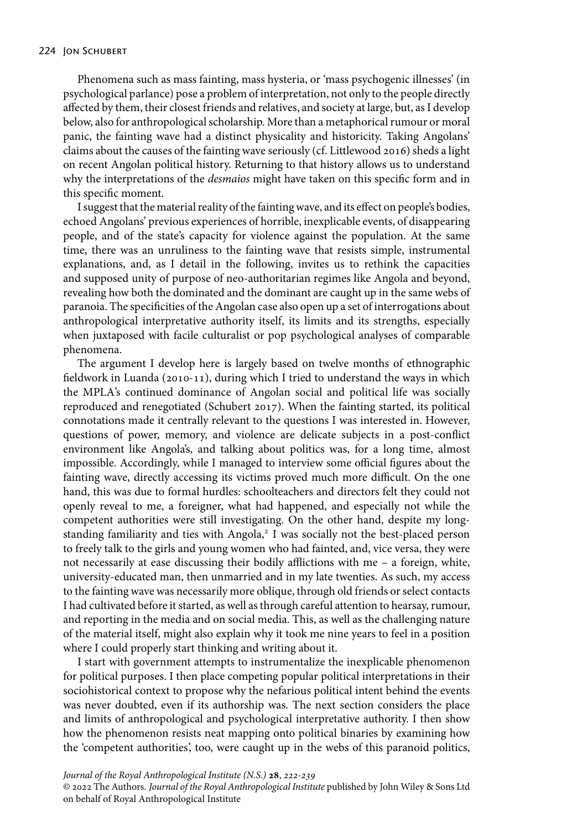Phenomena such as mass fainting, mass hysteria, or 'mass psychogenic illnesses' (in psychological parlance) pose a problem of interpretation, not only to the people directly affected by them, their closest friends and relatives, and society at large, but, as I develop below, also for anthropological scholarship. More than a metaphorical rumour or moral panic, the fainting wave had a distinct physicality and historicity. Taking Angolans' claims about the causes of the fainting wave seriously (cf. Littlewood 2016) sheds a light on recent Angolan political history. Returning to that history allows us to understand why the interpretations of the *desmaios* might have taken on this specific form and in this specific moment.

I suggest that the material reality of the fainting wave, and its effect on people's bodies, echoed Angolans' previous experiences of horrible, inexplicable events, of disappearing people, and of the state's capacity for violence against the population. At the same time, there was an unruliness to the fainting wave that resists simple, instrumental explanations, and, as I detail in the following, invites us to rethink the capacities and supposed unity of purpose of neo-authoritarian regimes like Angola and beyond, revealing how both the dominated and the dominant are caught up in the same webs of paranoia. The specificities of the Angolan case also open up a set of interrogations about anthropological interpretative authority itself, its limits and its strengths, especially when juxtaposed with facile culturalist or pop psychological analyses of comparable phenomena.

The argument I develop here is largely based on twelve months of ethnographic fieldwork in Luanda (2010-11), during which I tried to understand the ways in which the MPLA's continued dominance of Angolan social and political life was socially reproduced and renegotiated (Schubert 2017). When the fainting started, its political connotations made it centrally relevant to the questions I was interested in. However, questions of power, memory, and violence are delicate subjects in a post-conflict environment like Angola's, and talking about politics was, for a long time, almost impossible. Accordingly, while I managed to interview some official figures about the fainting wave, directly accessing its victims proved much more difficult. On the one hand, this was due to formal hurdles: schoolteachers and directors felt they could not openly reveal to me, a foreigner, what had happened, and especially not while the competent authorities were still investigating. On the other hand, despite my longstanding familiarity and ties with Angola,<sup>2</sup> I was socially not the best-placed person to freely talk to the girls and young women who had fainted, and, vice versa, they were not necessarily at ease discussing their bodily afflictions with me – a foreign, white, university-educated man, then unmarried and in my late twenties. As such, my access to the fainting wave was necessarily more oblique, through old friends or select contacts I had cultivated before it started, as well as through careful attention to hearsay, rumour, and reporting in the media and on social media. This, as well as the challenging nature of the material itself, might also explain why it took me nine years to feel in a position where I could properly start thinking and writing about it.

I start with government attempts to instrumentalize the inexplicable phenomenon for political purposes. I then place competing popular political interpretations in their sociohistorical context to propose why the nefarious political intent behind the events was never doubted, even if its authorship was. The next section considers the place and limits of anthropological and psychological interpretative authority. I then show how the phenomenon resists neat mapping onto political binaries by examining how the 'competent authorities', too, were caught up in the webs of this paranoid politics,

*Journal of the Royal Anthropological Institute (N.S.)* **28**, 222-239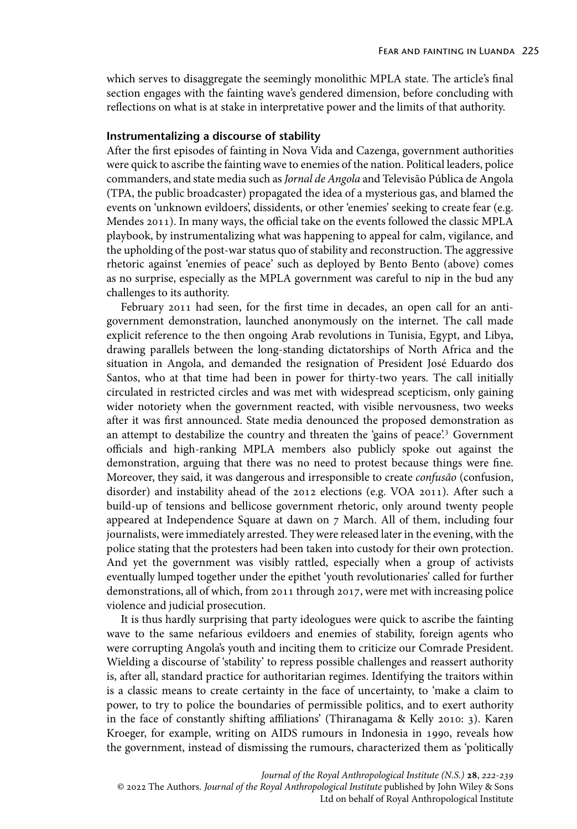which serves to disaggregate the seemingly monolithic MPLA state. The article's final section engages with the fainting wave's gendered dimension, before concluding with reflections on what is at stake in interpretative power and the limits of that authority.

# **Instrumentalizing a discourse of stability**

After the first episodes of fainting in Nova Vida and Cazenga, government authorities were quick to ascribe the fainting wave to enemies of the nation. Political leaders, police commanders, and state media such as*Jornal de Angola* and Televisão Pública de Angola (TPA, the public broadcaster) propagated the idea of a mysterious gas, and blamed the events on 'unknown evildoers', dissidents, or other 'enemies' seeking to create fear (e.g. Mendes 2011). In many ways, the official take on the events followed the classic MPLA playbook, by instrumentalizing what was happening to appeal for calm, vigilance, and the upholding of the post-war status quo of stability and reconstruction. The aggressive rhetoric against 'enemies of peace' such as deployed by Bento Bento (above) comes as no surprise, especially as the MPLA government was careful to nip in the bud any challenges to its authority.

February 2011 had seen, for the first time in decades, an open call for an antigovernment demonstration, launched anonymously on the internet. The call made explicit reference to the then ongoing Arab revolutions in Tunisia, Egypt, and Libya, drawing parallels between the long-standing dictatorships of North Africa and the situation in Angola, and demanded the resignation of President José Eduardo dos Santos, who at that time had been in power for thirty-two years. The call initially circulated in restricted circles and was met with widespread scepticism, only gaining wider notoriety when the government reacted, with visible nervousness, two weeks after it was first announced. State media denounced the proposed demonstration as an attempt to destabilize the country and threaten the 'gains of peace'.<sup>3</sup> Government officials and high-ranking MPLA members also publicly spoke out against the demonstration, arguing that there was no need to protest because things were fine. Moreover, they said, it was dangerous and irresponsible to create *confusão* (confusion, disorder) and instability ahead of the 2012 elections (e.g. VOA 2011). After such a build-up of tensions and bellicose government rhetoric, only around twenty people appeared at Independence Square at dawn on 7 March. All of them, including four journalists, were immediately arrested. They were released later in the evening, with the police stating that the protesters had been taken into custody for their own protection. And yet the government was visibly rattled, especially when a group of activists eventually lumped together under the epithet 'youth revolutionaries' called for further demonstrations, all of which, from 2011 through 2017, were met with increasing police violence and judicial prosecution.

It is thus hardly surprising that party ideologues were quick to ascribe the fainting wave to the same nefarious evildoers and enemies of stability, foreign agents who were corrupting Angola's youth and inciting them to criticize our Comrade President. Wielding a discourse of 'stability' to repress possible challenges and reassert authority is, after all, standard practice for authoritarian regimes. Identifying the traitors within is a classic means to create certainty in the face of uncertainty, to 'make a claim to power, to try to police the boundaries of permissible politics, and to exert authority in the face of constantly shifting affiliations' (Thiranagama & Kelly 2010: 3). Karen Kroeger, for example, writing on AIDS rumours in Indonesia in 1990, reveals how the government, instead of dismissing the rumours, characterized them as 'politically

*Journal of the Royal Anthropological Institute (N.S.)* **28**, 222-239 © 2022 The Authors. *Journal of the Royal Anthropological Institute* published by John Wiley & Sons Ltd on behalf of Royal Anthropological Institute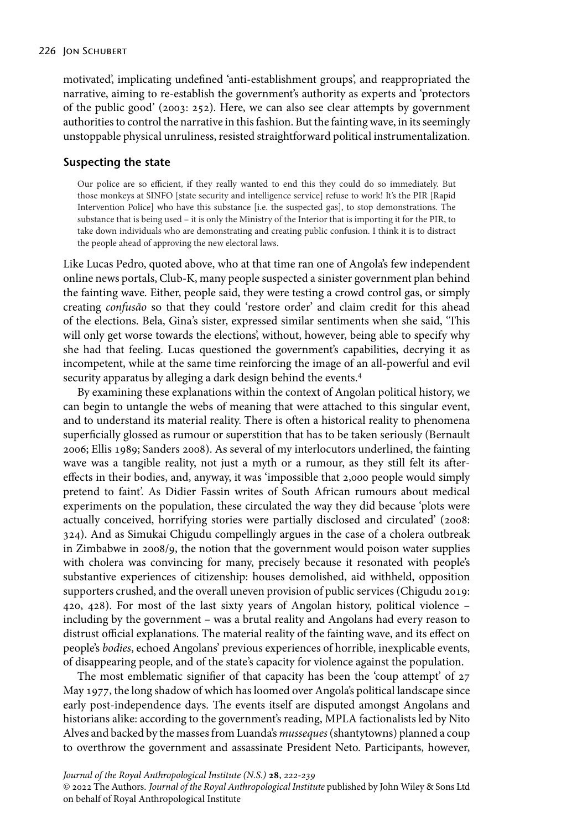#### 226 JON SCHUBERT

motivated', implicating undefined 'anti-establishment groups', and reappropriated the narrative, aiming to re-establish the government's authority as experts and 'protectors of the public good' (2003: 252). Here, we can also see clear attempts by government authorities to control the narrative in this fashion. But the fainting wave, in its seemingly unstoppable physical unruliness, resisted straightforward political instrumentalization.

## **Suspecting the state**

Our police are so efficient, if they really wanted to end this they could do so immediately. But those monkeys at SINFO [state security and intelligence service] refuse to work! It's the PIR [Rapid Intervention Police] who have this substance [i.e. the suspected gas], to stop demonstrations. The substance that is being used – it is only the Ministry of the Interior that is importing it for the PIR, to take down individuals who are demonstrating and creating public confusion. I think it is to distract the people ahead of approving the new electoral laws.

Like Lucas Pedro, quoted above, who at that time ran one of Angola's few independent online news portals, Club-K, many people suspected a sinister government plan behind the fainting wave. Either, people said, they were testing a crowd control gas, or simply creating *confusão* so that they could 'restore order' and claim credit for this ahead of the elections. Bela, Gina's sister, expressed similar sentiments when she said, 'This will only get worse towards the elections', without, however, being able to specify why she had that feeling. Lucas questioned the government's capabilities, decrying it as incompetent, while at the same time reinforcing the image of an all-powerful and evil security apparatus by alleging a dark design behind the events.<sup>4</sup>

By examining these explanations within the context of Angolan political history, we can begin to untangle the webs of meaning that were attached to this singular event, and to understand its material reality. There is often a historical reality to phenomena superficially glossed as rumour or superstition that has to be taken seriously (Bernault 2006; Ellis 1989; Sanders 2008). As several of my interlocutors underlined, the fainting wave was a tangible reality, not just a myth or a rumour, as they still felt its aftereffects in their bodies, and, anyway, it was 'impossible that 2,000 people would simply pretend to faint'. As Didier Fassin writes of South African rumours about medical experiments on the population, these circulated the way they did because 'plots were actually conceived, horrifying stories were partially disclosed and circulated' (2008: 324). And as Simukai Chigudu compellingly argues in the case of a cholera outbreak in Zimbabwe in 2008/9, the notion that the government would poison water supplies with cholera was convincing for many, precisely because it resonated with people's substantive experiences of citizenship: houses demolished, aid withheld, opposition supporters crushed, and the overall uneven provision of public services (Chigudu 2019: 420, 428). For most of the last sixty years of Angolan history, political violence – including by the government – was a brutal reality and Angolans had every reason to distrust official explanations. The material reality of the fainting wave, and its effect on people's *bodies*, echoed Angolans' previous experiences of horrible, inexplicable events, of disappearing people, and of the state's capacity for violence against the population.

The most emblematic signifier of that capacity has been the 'coup attempt' of 27 May 1977, the long shadow of which has loomed over Angola's political landscape since early post-independence days. The events itself are disputed amongst Angolans and historians alike: according to the government's reading, MPLA factionalists led by Nito Alves and backed by the masses from Luanda's *musseques*(shantytowns) planned a coup to overthrow the government and assassinate President Neto. Participants, however,

*Journal of the Royal Anthropological Institute (N.S.)* **28**, 222-239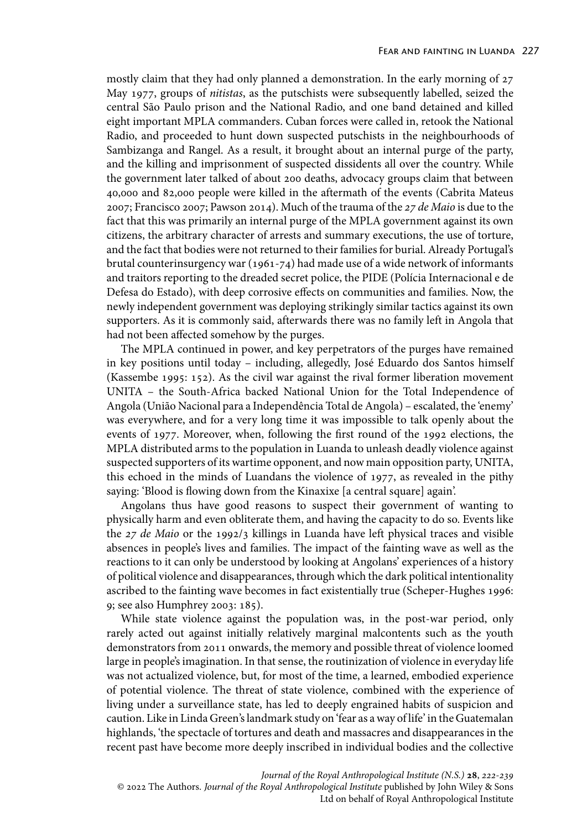mostly claim that they had only planned a demonstration. In the early morning of 27 May 1977, groups of *nitistas*, as the putschists were subsequently labelled, seized the central São Paulo prison and the National Radio, and one band detained and killed eight important MPLA commanders. Cuban forces were called in, retook the National Radio, and proceeded to hunt down suspected putschists in the neighbourhoods of Sambizanga and Rangel. As a result, it brought about an internal purge of the party, and the killing and imprisonment of suspected dissidents all over the country. While the government later talked of about 200 deaths, advocacy groups claim that between 40,000 and 82,000 people were killed in the aftermath of the events (Cabrita Mateus 2007; Francisco 2007; Pawson 2014). Much of the trauma of the 27 de Maio is due to the fact that this was primarily an internal purge of the MPLA government against its own citizens, the arbitrary character of arrests and summary executions, the use of torture, and the fact that bodies were not returned to their families for burial. Already Portugal's brutal counterinsurgency war (1961-74) had made use of a wide network of informants and traitors reporting to the dreaded secret police, the PIDE (Polícia Internacional e de Defesa do Estado), with deep corrosive effects on communities and families. Now, the newly independent government was deploying strikingly similar tactics against its own supporters. As it is commonly said, afterwards there was no family left in Angola that had not been affected somehow by the purges.

The MPLA continued in power, and key perpetrators of the purges have remained in key positions until today – including, allegedly, José Eduardo dos Santos himself (Kassembe 1995: 152). As the civil war against the rival former liberation movement UNITA – the South-Africa backed National Union for the Total Independence of Angola (União Nacional para a Independência Total de Angola) – escalated, the 'enemy' was everywhere, and for a very long time it was impossible to talk openly about the events of 1977. Moreover, when, following the first round of the 1992 elections, the MPLA distributed arms to the population in Luanda to unleash deadly violence against suspected supporters of its wartime opponent, and now main opposition party, UNITA, this echoed in the minds of Luandans the violence of 1977, as revealed in the pithy saying: 'Blood is flowing down from the Kinaxixe [a central square] again'.

Angolans thus have good reasons to suspect their government of wanting to physically harm and even obliterate them, and having the capacity to do so. Events like the 27 de Maio or the 1992/3 killings in Luanda have left physical traces and visible absences in people's lives and families. The impact of the fainting wave as well as the reactions to it can only be understood by looking at Angolans' experiences of a history of political violence and disappearances, through which the dark political intentionality ascribed to the fainting wave becomes in fact existentially true (Scheper-Hughes 1996: 9; see also Humphrey 2003: 185).

While state violence against the population was, in the post-war period, only rarely acted out against initially relatively marginal malcontents such as the youth demonstrators from 2011 onwards, the memory and possible threat of violence loomed large in people's imagination. In that sense, the routinization of violence in everyday life was not actualized violence, but, for most of the time, a learned, embodied experience of potential violence. The threat of state violence, combined with the experience of living under a surveillance state, has led to deeply engrained habits of suspicion and caution. Like in Linda Green's landmark study on 'fear as a way of life' in the Guatemalan highlands, 'the spectacle of tortures and death and massacres and disappearances in the recent past have become more deeply inscribed in individual bodies and the collective

*Journal of the Royal Anthropological Institute (N.S.)* **28**, 222-239 © 2022 The Authors. *Journal of the Royal Anthropological Institute* published by John Wiley & Sons Ltd on behalf of Royal Anthropological Institute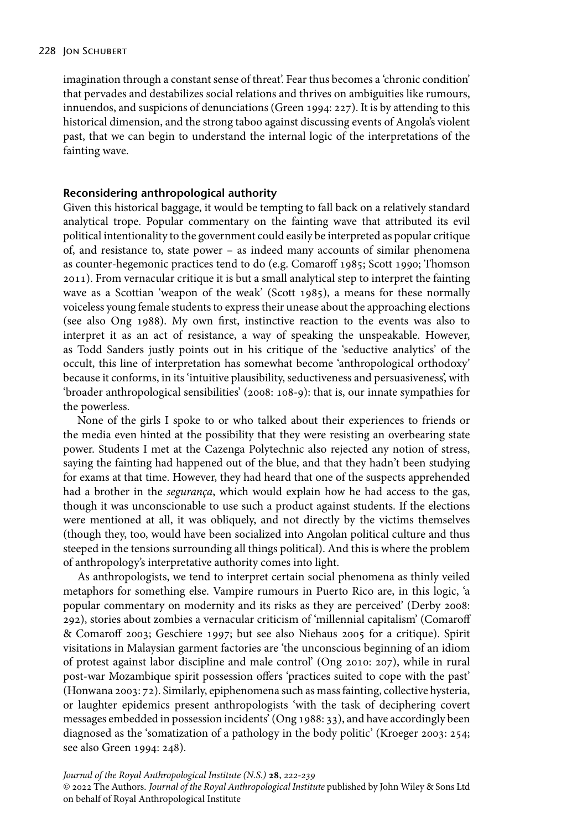imagination through a constant sense of threat'. Fear thus becomes a 'chronic condition' that pervades and destabilizes social relations and thrives on ambiguities like rumours, innuendos, and suspicions of denunciations (Green 1994: 227). It is by attending to this historical dimension, and the strong taboo against discussing events of Angola's violent past, that we can begin to understand the internal logic of the interpretations of the fainting wave.

## **Reconsidering anthropological authority**

Given this historical baggage, it would be tempting to fall back on a relatively standard analytical trope. Popular commentary on the fainting wave that attributed its evil political intentionality to the government could easily be interpreted as popular critique of, and resistance to, state power – as indeed many accounts of similar phenomena as counter-hegemonic practices tend to do (e.g. Comaroff 1985; Scott 1990; Thomson 2011). From vernacular critique it is but a small analytical step to interpret the fainting wave as a Scottian 'weapon of the weak' (Scott 1985), a means for these normally voiceless young female students to express their unease about the approaching elections (see also Ong 1988). My own first, instinctive reaction to the events was also to interpret it as an act of resistance, a way of speaking the unspeakable. However, as Todd Sanders justly points out in his critique of the 'seductive analytics' of the occult, this line of interpretation has somewhat become 'anthropological orthodoxy' because it conforms, in its 'intuitive plausibility, seductiveness and persuasiveness', with 'broader anthropological sensibilities' (2008: 108-9): that is, our innate sympathies for the powerless.

None of the girls I spoke to or who talked about their experiences to friends or the media even hinted at the possibility that they were resisting an overbearing state power. Students I met at the Cazenga Polytechnic also rejected any notion of stress, saying the fainting had happened out of the blue, and that they hadn't been studying for exams at that time. However, they had heard that one of the suspects apprehended had a brother in the *segurança*, which would explain how he had access to the gas, though it was unconscionable to use such a product against students. If the elections were mentioned at all, it was obliquely, and not directly by the victims themselves (though they, too, would have been socialized into Angolan political culture and thus steeped in the tensions surrounding all things political). And this is where the problem of anthropology's interpretative authority comes into light.

As anthropologists, we tend to interpret certain social phenomena as thinly veiled metaphors for something else. Vampire rumours in Puerto Rico are, in this logic, 'a popular commentary on modernity and its risks as they are perceived' (Derby 2008: 292), stories about zombies a vernacular criticism of 'millennial capitalism' (Comaroff & Comaroff 2003; Geschiere 1997; but see also Niehaus 2005 for a critique). Spirit visitations in Malaysian garment factories are 'the unconscious beginning of an idiom of protest against labor discipline and male control' (Ong 2010: 207), while in rural post-war Mozambique spirit possession offers 'practices suited to cope with the past' (Honwana 2003: 72). Similarly, epiphenomena such as mass fainting, collective hysteria, or laughter epidemics present anthropologists 'with the task of deciphering covert messages embedded in possession incidents' (Ong 1988: 33), and have accordingly been diagnosed as the 'somatization of a pathology in the body politic' (Kroeger 2003: 254; see also Green 1994: 248).

*Journal of the Royal Anthropological Institute (N.S.)* **28**, 222-239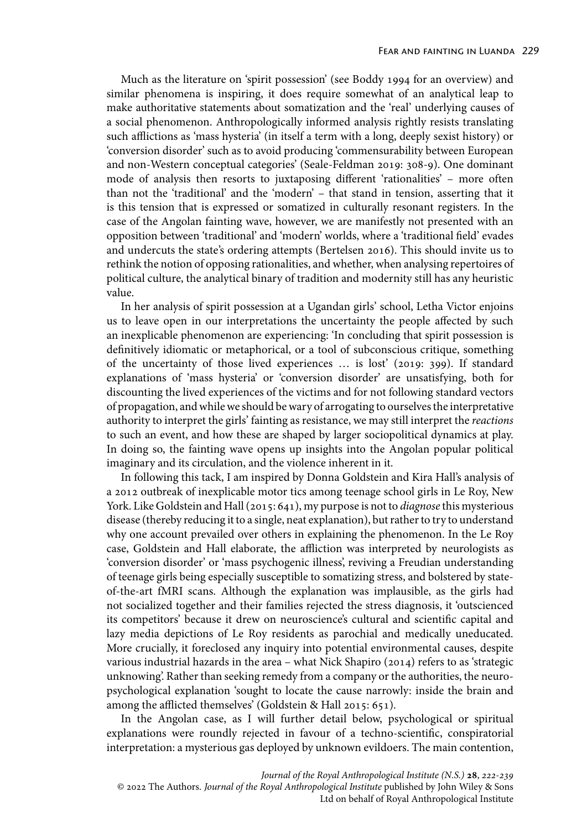Much as the literature on 'spirit possession' (see Boddy 1994 for an overview) and similar phenomena is inspiring, it does require somewhat of an analytical leap to make authoritative statements about somatization and the 'real' underlying causes of a social phenomenon. Anthropologically informed analysis rightly resists translating such afflictions as 'mass hysteria' (in itself a term with a long, deeply sexist history) or 'conversion disorder' such as to avoid producing 'commensurability between European and non-Western conceptual categories' (Seale-Feldman 2019: 308-9). One dominant mode of analysis then resorts to juxtaposing different 'rationalities' – more often than not the 'traditional' and the 'modern' – that stand in tension, asserting that it is this tension that is expressed or somatized in culturally resonant registers. In the case of the Angolan fainting wave, however, we are manifestly not presented with an opposition between 'traditional' and 'modern' worlds, where a 'traditional field' evades and undercuts the state's ordering attempts (Bertelsen 2016). This should invite us to rethink the notion of opposing rationalities, and whether, when analysing repertoires of political culture, the analytical binary of tradition and modernity still has any heuristic value.

In her analysis of spirit possession at a Ugandan girls' school, Letha Victor enjoins us to leave open in our interpretations the uncertainty the people affected by such an inexplicable phenomenon are experiencing: 'In concluding that spirit possession is definitively idiomatic or metaphorical, or a tool of subconscious critique, something of the uncertainty of those lived experiences … is lost' (2019: 399). If standard explanations of 'mass hysteria' or 'conversion disorder' are unsatisfying, both for discounting the lived experiences of the victims and for not following standard vectors of propagation, and while we should be wary of arrogating to ourselves the interpretative authority to interpret the girls' fainting as resistance, we may still interpret the *reactions* to such an event, and how these are shaped by larger sociopolitical dynamics at play. In doing so, the fainting wave opens up insights into the Angolan popular political imaginary and its circulation, and the violence inherent in it.

In following this tack, I am inspired by Donna Goldstein and Kira Hall's analysis of a 2012 outbreak of inexplicable motor tics among teenage school girls in Le Roy, New York. Like Goldstein and Hall (2015: 641), my purpose is not to *diagnose* this mysterious disease (thereby reducing it to a single, neat explanation), but rather to try to understand why one account prevailed over others in explaining the phenomenon. In the Le Roy case, Goldstein and Hall elaborate, the affliction was interpreted by neurologists as 'conversion disorder' or 'mass psychogenic illness', reviving a Freudian understanding of teenage girls being especially susceptible to somatizing stress, and bolstered by stateof-the-art fMRI scans. Although the explanation was implausible, as the girls had not socialized together and their families rejected the stress diagnosis, it 'outscienced its competitors' because it drew on neuroscience's cultural and scientific capital and lazy media depictions of Le Roy residents as parochial and medically uneducated. More crucially, it foreclosed any inquiry into potential environmental causes, despite various industrial hazards in the area – what Nick Shapiro (2014) refers to as 'strategic unknowing'. Rather than seeking remedy from a company or the authorities, the neuropsychological explanation 'sought to locate the cause narrowly: inside the brain and among the afflicted themselves' (Goldstein & Hall 2015: 651).

In the Angolan case, as I will further detail below, psychological or spiritual explanations were roundly rejected in favour of a techno-scientific, conspiratorial interpretation: a mysterious gas deployed by unknown evildoers. The main contention,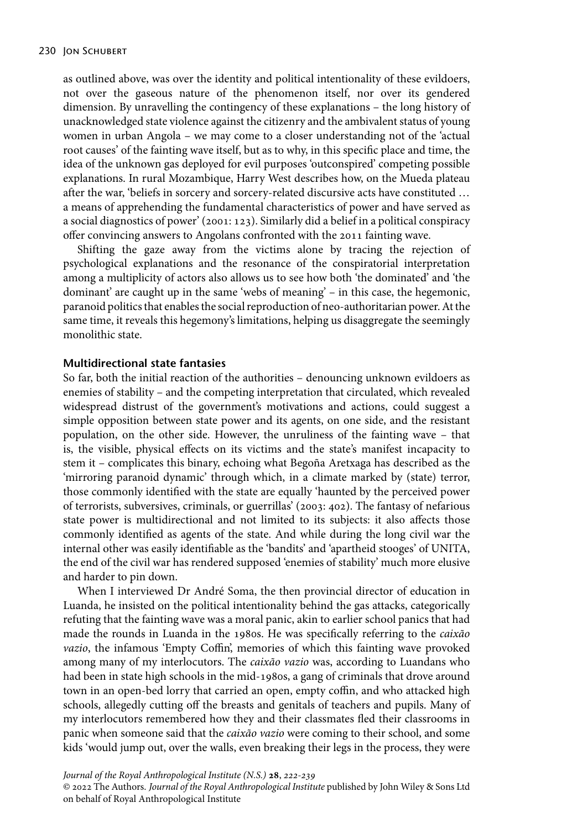as outlined above, was over the identity and political intentionality of these evildoers, not over the gaseous nature of the phenomenon itself, nor over its gendered dimension. By unravelling the contingency of these explanations – the long history of unacknowledged state violence against the citizenry and the ambivalent status of young women in urban Angola – we may come to a closer understanding not of the 'actual root causes' of the fainting wave itself, but as to why, in this specific place and time, the idea of the unknown gas deployed for evil purposes 'outconspired' competing possible explanations. In rural Mozambique, Harry West describes how, on the Mueda plateau after the war, 'beliefs in sorcery and sorcery-related discursive acts have constituted … a means of apprehending the fundamental characteristics of power and have served as a social diagnostics of power' (2001: 123). Similarly did a belief in a political conspiracy offer convincing answers to Angolans confronted with the 2011 fainting wave.

Shifting the gaze away from the victims alone by tracing the rejection of psychological explanations and the resonance of the conspiratorial interpretation among a multiplicity of actors also allows us to see how both 'the dominated' and 'the dominant' are caught up in the same 'webs of meaning' – in this case, the hegemonic, paranoid politics that enables the social reproduction of neo-authoritarian power. At the same time, it reveals this hegemony's limitations, helping us disaggregate the seemingly monolithic state.

#### **Multidirectional state fantasies**

So far, both the initial reaction of the authorities – denouncing unknown evildoers as enemies of stability – and the competing interpretation that circulated, which revealed widespread distrust of the government's motivations and actions, could suggest a simple opposition between state power and its agents, on one side, and the resistant population, on the other side. However, the unruliness of the fainting wave – that is, the visible, physical effects on its victims and the state's manifest incapacity to stem it – complicates this binary, echoing what Begoña Aretxaga has described as the 'mirroring paranoid dynamic' through which, in a climate marked by (state) terror, those commonly identified with the state are equally 'haunted by the perceived power of terrorists, subversives, criminals, or guerrillas' (2003: 402). The fantasy of nefarious state power is multidirectional and not limited to its subjects: it also affects those commonly identified as agents of the state. And while during the long civil war the internal other was easily identifiable as the 'bandits' and 'apartheid stooges' of UNITA, the end of the civil war has rendered supposed 'enemies of stability' much more elusive and harder to pin down.

When I interviewed Dr André Soma, the then provincial director of education in Luanda, he insisted on the political intentionality behind the gas attacks, categorically refuting that the fainting wave was a moral panic, akin to earlier school panics that had made the rounds in Luanda in the 1980s. He was specifically referring to the *caixão vazio*, the infamous 'Empty Coffin', memories of which this fainting wave provoked among many of my interlocutors. The *caixão vazio* was, according to Luandans who had been in state high schools in the mid-1980s, a gang of criminals that drove around town in an open-bed lorry that carried an open, empty coffin, and who attacked high schools, allegedly cutting off the breasts and genitals of teachers and pupils. Many of my interlocutors remembered how they and their classmates fled their classrooms in panic when someone said that the *caixão vazio* were coming to their school, and some kids 'would jump out, over the walls, even breaking their legs in the process, they were

*Journal of the Royal Anthropological Institute (N.S.)* **28**, 222-239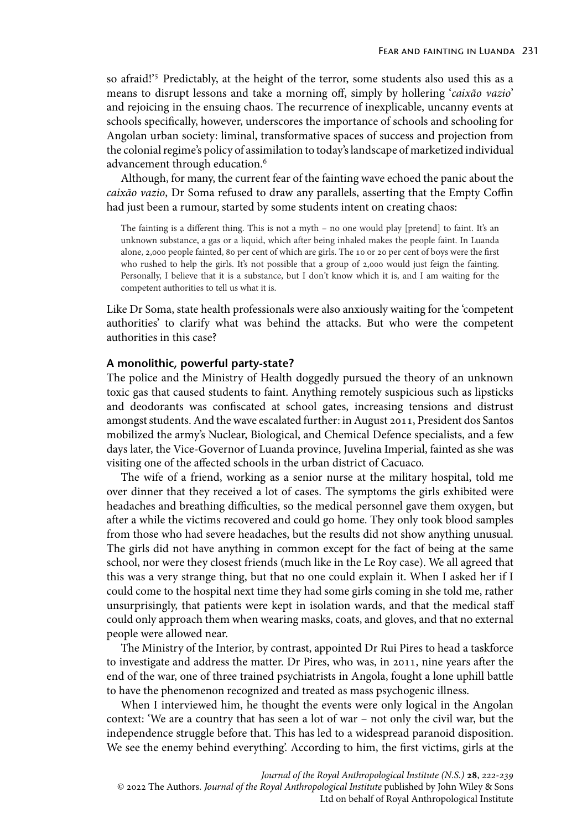so afraid!'<sup>5</sup> Predictably, at the height of the terror, some students also used this as a means to disrupt lessons and take a morning off, simply by hollering '*caixão vazio*' and rejoicing in the ensuing chaos. The recurrence of inexplicable, uncanny events at schools specifically, however, underscores the importance of schools and schooling for Angolan urban society: liminal, transformative spaces of success and projection from the colonial regime's policy of assimilation to today's landscape of marketized individual advancement through education.<sup>6</sup>

Although, for many, the current fear of the fainting wave echoed the panic about the *caixão vazio*, Dr Soma refused to draw any parallels, asserting that the Empty Coffin had just been a rumour, started by some students intent on creating chaos:

The fainting is a different thing. This is not a myth – no one would play [pretend] to faint. It's an unknown substance, a gas or a liquid, which after being inhaled makes the people faint. In Luanda alone, 2,000 people fainted, 80 per cent of which are girls. The 10 or 20 per cent of boys were the first who rushed to help the girls. It's not possible that a group of 2,000 would just feign the fainting. Personally, I believe that it is a substance, but I don't know which it is, and I am waiting for the competent authorities to tell us what it is.

Like Dr Soma, state health professionals were also anxiously waiting for the 'competent authorities' to clarify what was behind the attacks. But who were the competent authorities in this case?

## **A monolithic, powerful party-state?**

The police and the Ministry of Health doggedly pursued the theory of an unknown toxic gas that caused students to faint. Anything remotely suspicious such as lipsticks and deodorants was confiscated at school gates, increasing tensions and distrust amongst students. And the wave escalated further: in August 2011, President dos Santos mobilized the army's Nuclear, Biological, and Chemical Defence specialists, and a few days later, the Vice-Governor of Luanda province, Juvelina Imperial, fainted as she was visiting one of the affected schools in the urban district of Cacuaco.

The wife of a friend, working as a senior nurse at the military hospital, told me over dinner that they received a lot of cases. The symptoms the girls exhibited were headaches and breathing difficulties, so the medical personnel gave them oxygen, but after a while the victims recovered and could go home. They only took blood samples from those who had severe headaches, but the results did not show anything unusual. The girls did not have anything in common except for the fact of being at the same school, nor were they closest friends (much like in the Le Roy case). We all agreed that this was a very strange thing, but that no one could explain it. When I asked her if I could come to the hospital next time they had some girls coming in she told me, rather unsurprisingly, that patients were kept in isolation wards, and that the medical staff could only approach them when wearing masks, coats, and gloves, and that no external people were allowed near.

The Ministry of the Interior, by contrast, appointed Dr Rui Pires to head a taskforce to investigate and address the matter. Dr Pires, who was, in 2011, nine years after the end of the war, one of three trained psychiatrists in Angola, fought a lone uphill battle to have the phenomenon recognized and treated as mass psychogenic illness.

When I interviewed him, he thought the events were only logical in the Angolan context: 'We are a country that has seen a lot of war – not only the civil war, but the independence struggle before that. This has led to a widespread paranoid disposition. We see the enemy behind everything'. According to him, the first victims, girls at the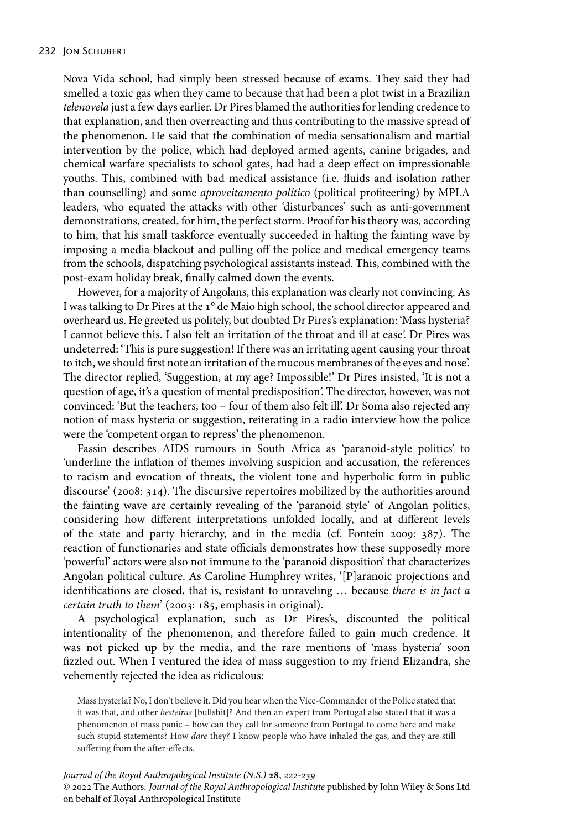Nova Vida school, had simply been stressed because of exams. They said they had smelled a toxic gas when they came to because that had been a plot twist in a Brazilian *telenovela* just a few days earlier. Dr Pires blamed the authorities for lending credence to that explanation, and then overreacting and thus contributing to the massive spread of the phenomenon. He said that the combination of media sensationalism and martial intervention by the police, which had deployed armed agents, canine brigades, and chemical warfare specialists to school gates, had had a deep effect on impressionable youths. This, combined with bad medical assistance (i.e. fluids and isolation rather than counselling) and some *aproveitamento político* (political profiteering) by MPLA leaders, who equated the attacks with other 'disturbances' such as anti-government demonstrations, created, for him, the perfect storm. Proof for his theory was, according to him, that his small taskforce eventually succeeded in halting the fainting wave by imposing a media blackout and pulling off the police and medical emergency teams from the schools, dispatching psychological assistants instead. This, combined with the post-exam holiday break, finally calmed down the events.

However, for a majority of Angolans, this explanation was clearly not convincing. As I was talking to Dr Pires at the 1° de Maio high school, the school director appeared and overheard us. He greeted us politely, but doubted Dr Pires's explanation: 'Mass hysteria? I cannot believe this. I also felt an irritation of the throat and ill at ease'. Dr Pires was undeterred: 'This is pure suggestion! If there was an irritating agent causing your throat to itch, we should first note an irritation of the mucous membranes of the eyes and nose'. The director replied, 'Suggestion, at my age? Impossible!' Dr Pires insisted, 'It is not a question of age, it's a question of mental predisposition'. The director, however, was not convinced: 'But the teachers, too – four of them also felt ill'. Dr Soma also rejected any notion of mass hysteria or suggestion, reiterating in a radio interview how the police were the 'competent organ to repress' the phenomenon.

Fassin describes AIDS rumours in South Africa as 'paranoid-style politics' to 'underline the inflation of themes involving suspicion and accusation, the references to racism and evocation of threats, the violent tone and hyperbolic form in public discourse' (2008: 314). The discursive repertoires mobilized by the authorities around the fainting wave are certainly revealing of the 'paranoid style' of Angolan politics, considering how different interpretations unfolded locally, and at different levels of the state and party hierarchy, and in the media (cf. Fontein 2009: 387). The reaction of functionaries and state officials demonstrates how these supposedly more 'powerful' actors were also not immune to the 'paranoid disposition' that characterizes Angolan political culture. As Caroline Humphrey writes, '[P]aranoic projections and identifications are closed, that is, resistant to unraveling … because *there is in fact a certain truth to them*' (2003: 185, emphasis in original).

A psychological explanation, such as Dr Pires's, discounted the political intentionality of the phenomenon, and therefore failed to gain much credence. It was not picked up by the media, and the rare mentions of 'mass hysteria' soon fizzled out. When I ventured the idea of mass suggestion to my friend Elizandra, she vehemently rejected the idea as ridiculous:

Mass hysteria? No, I don't believe it. Did you hear when the Vice-Commander of the Police stated that it was that, and other *besteiras* [bullshit]? And then an expert from Portugal also stated that it was a phenomenon of mass panic – how can they call for someone from Portugal to come here and make such stupid statements? How *dare* they? I know people who have inhaled the gas, and they are still suffering from the after-effects.

*Journal of the Royal Anthropological Institute (N.S.)* **28**, 222-239 © 2022 The Authors. *Journal of the Royal Anthropological Institute* published by John Wiley & Sons Ltd on behalf of Royal Anthropological Institute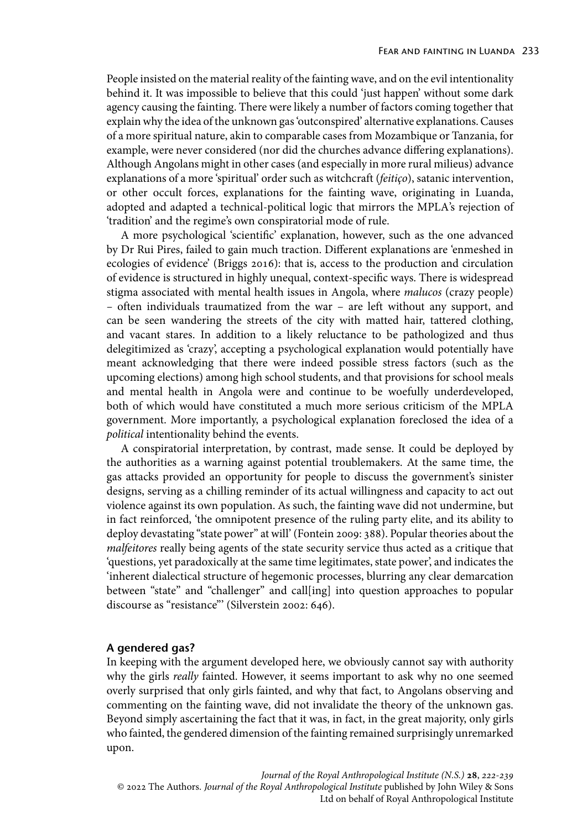People insisted on the material reality of the fainting wave, and on the evil intentionality behind it. It was impossible to believe that this could 'just happen' without some dark agency causing the fainting. There were likely a number of factors coming together that explain why the idea of the unknown gas 'outconspired' alternative explanations. Causes of a more spiritual nature, akin to comparable cases from Mozambique or Tanzania, for example, were never considered (nor did the churches advance differing explanations). Although Angolans might in other cases (and especially in more rural milieus) advance explanations of a more 'spiritual' order such as witchcraft (*feitiço*), satanic intervention, or other occult forces, explanations for the fainting wave, originating in Luanda, adopted and adapted a technical-political logic that mirrors the MPLA's rejection of 'tradition' and the regime's own conspiratorial mode of rule.

A more psychological 'scientific' explanation, however, such as the one advanced by Dr Rui Pires, failed to gain much traction. Different explanations are 'enmeshed in ecologies of evidence' (Briggs 2016): that is, access to the production and circulation of evidence is structured in highly unequal, context-specific ways. There is widespread stigma associated with mental health issues in Angola, where *malucos* (crazy people) *–* often individuals traumatized from the war – are left without any support, and can be seen wandering the streets of the city with matted hair, tattered clothing, and vacant stares. In addition to a likely reluctance to be pathologized and thus delegitimized as 'crazy', accepting a psychological explanation would potentially have meant acknowledging that there were indeed possible stress factors (such as the upcoming elections) among high school students, and that provisions for school meals and mental health in Angola were and continue to be woefully underdeveloped, both of which would have constituted a much more serious criticism of the MPLA government. More importantly, a psychological explanation foreclosed the idea of a *political* intentionality behind the events.

A conspiratorial interpretation, by contrast, made sense. It could be deployed by the authorities as a warning against potential troublemakers. At the same time, the gas attacks provided an opportunity for people to discuss the government's sinister designs, serving as a chilling reminder of its actual willingness and capacity to act out violence against its own population. As such, the fainting wave did not undermine, but in fact reinforced, 'the omnipotent presence of the ruling party elite, and its ability to deploy devastating "state power" at will' (Fontein 2009: 388). Popular theories about the *malfeitores* really being agents of the state security service thus acted as a critique that 'questions, yet paradoxically at the same time legitimates, state power', and indicates the 'inherent dialectical structure of hegemonic processes, blurring any clear demarcation between "state" and "challenger" and call[ing] into question approaches to popular discourse as "resistance"' (Silverstein 2002: 646).

## **A gendered gas?**

In keeping with the argument developed here, we obviously cannot say with authority why the girls *really* fainted. However, it seems important to ask why no one seemed overly surprised that only girls fainted, and why that fact, to Angolans observing and commenting on the fainting wave, did not invalidate the theory of the unknown gas. Beyond simply ascertaining the fact that it was, in fact, in the great majority, only girls who fainted, the gendered dimension of the fainting remained surprisingly unremarked upon.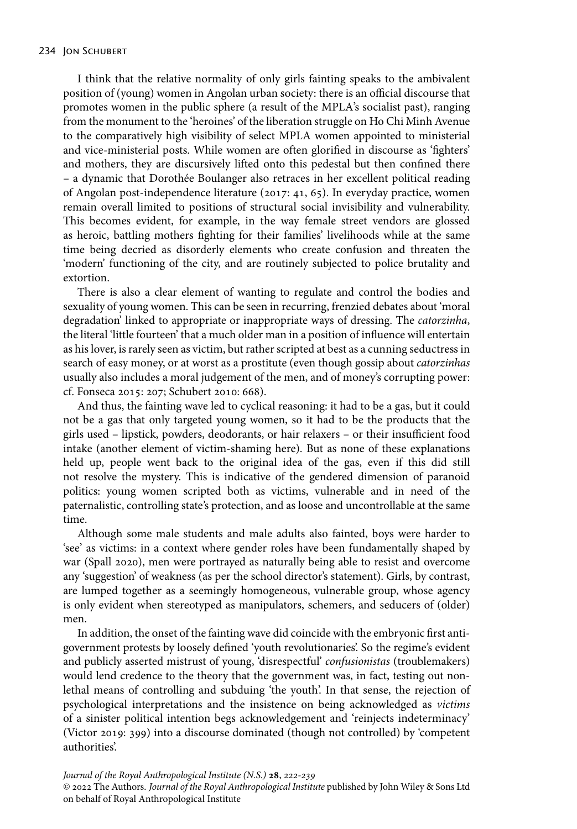I think that the relative normality of only girls fainting speaks to the ambivalent position of (young) women in Angolan urban society: there is an official discourse that promotes women in the public sphere (a result of the MPLA's socialist past), ranging from the monument to the 'heroines' of the liberation struggle on Ho Chi Minh Avenue to the comparatively high visibility of select MPLA women appointed to ministerial and vice-ministerial posts. While women are often glorified in discourse as 'fighters' and mothers, they are discursively lifted onto this pedestal but then confined there – a dynamic that Dorothée Boulanger also retraces in her excellent political reading of Angolan post-independence literature (2017: 41, 65). In everyday practice, women remain overall limited to positions of structural social invisibility and vulnerability. This becomes evident, for example, in the way female street vendors are glossed as heroic, battling mothers fighting for their families' livelihoods while at the same time being decried as disorderly elements who create confusion and threaten the 'modern' functioning of the city, and are routinely subjected to police brutality and extortion.

There is also a clear element of wanting to regulate and control the bodies and sexuality of young women. This can be seen in recurring, frenzied debates about 'moral degradation' linked to appropriate or inappropriate ways of dressing. The *catorzinha*, the literal 'little fourteen' that a much older man in a position of influence will entertain as his lover, is rarely seen as victim, but rather scripted at best as a cunning seductress in search of easy money, or at worst as a prostitute (even though gossip about *catorzinhas* usually also includes a moral judgement of the men, and of money's corrupting power: cf. Fonseca 2015: 207; Schubert 2010: 668).

And thus, the fainting wave led to cyclical reasoning: it had to be a gas, but it could not be a gas that only targeted young women, so it had to be the products that the girls used – lipstick, powders, deodorants, or hair relaxers – or their insufficient food intake (another element of victim-shaming here). But as none of these explanations held up, people went back to the original idea of the gas, even if this did still not resolve the mystery. This is indicative of the gendered dimension of paranoid politics: young women scripted both as victims, vulnerable and in need of the paternalistic, controlling state's protection, and as loose and uncontrollable at the same time.

Although some male students and male adults also fainted, boys were harder to 'see' as victims: in a context where gender roles have been fundamentally shaped by war (Spall 2020), men were portrayed as naturally being able to resist and overcome any 'suggestion' of weakness (as per the school director's statement). Girls, by contrast, are lumped together as a seemingly homogeneous, vulnerable group, whose agency is only evident when stereotyped as manipulators, schemers, and seducers of (older) men.

In addition, the onset of the fainting wave did coincide with the embryonic first antigovernment protests by loosely defined 'youth revolutionaries'. So the regime's evident and publicly asserted mistrust of young, 'disrespectful' *confusionistas* (troublemakers) would lend credence to the theory that the government was, in fact, testing out nonlethal means of controlling and subduing 'the youth'. In that sense, the rejection of psychological interpretations and the insistence on being acknowledged as *victims* of a sinister political intention begs acknowledgement and 'reinjects indeterminacy' (Victor 2019: 399) into a discourse dominated (though not controlled) by 'competent authorities'.

*Journal of the Royal Anthropological Institute (N.S.)* **28**, 222-239 © 2022 The Authors. *Journal of the Royal Anthropological Institute* published by John Wiley & Sons Ltd on behalf of Royal Anthropological Institute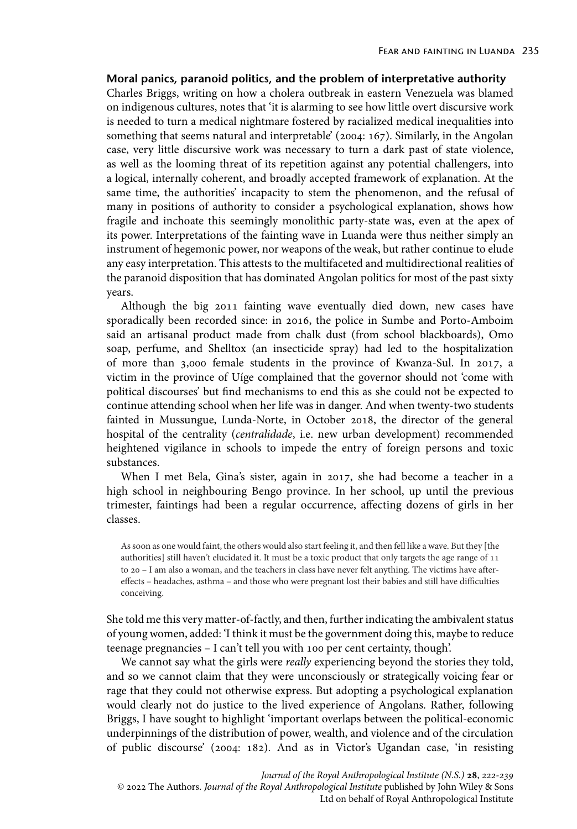## **Moral panics, paranoid politics, and the problem of interpretative authority**

Charles Briggs, writing on how a cholera outbreak in eastern Venezuela was blamed on indigenous cultures, notes that 'it is alarming to see how little overt discursive work is needed to turn a medical nightmare fostered by racialized medical inequalities into something that seems natural and interpretable' (2004: 167). Similarly, in the Angolan case, very little discursive work was necessary to turn a dark past of state violence, as well as the looming threat of its repetition against any potential challengers, into a logical, internally coherent, and broadly accepted framework of explanation. At the same time, the authorities' incapacity to stem the phenomenon, and the refusal of many in positions of authority to consider a psychological explanation, shows how fragile and inchoate this seemingly monolithic party-state was, even at the apex of its power. Interpretations of the fainting wave in Luanda were thus neither simply an instrument of hegemonic power, nor weapons of the weak, but rather continue to elude any easy interpretation. This attests to the multifaceted and multidirectional realities of the paranoid disposition that has dominated Angolan politics for most of the past sixty years.

Although the big 2011 fainting wave eventually died down, new cases have sporadically been recorded since: in 2016, the police in Sumbe and Porto-Amboim said an artisanal product made from chalk dust (from school blackboards), Omo soap, perfume, and Shelltox (an insecticide spray) had led to the hospitalization of more than 3,000 female students in the province of Kwanza-Sul. In 2017, a victim in the province of Uíge complained that the governor should not 'come with political discourses' but find mechanisms to end this as she could not be expected to continue attending school when her life was in danger. And when twenty-two students fainted in Mussungue, Lunda-Norte, in October 2018, the director of the general hospital of the centrality (*centralidade*, i.e. new urban development) recommended heightened vigilance in schools to impede the entry of foreign persons and toxic substances.

When I met Bela, Gina's sister, again in 2017, she had become a teacher in a high school in neighbouring Bengo province. In her school, up until the previous trimester, faintings had been a regular occurrence, affecting dozens of girls in her classes.

As soon as one would faint, the others would also start feeling it, and then fell like a wave. But they [the authorities] still haven't elucidated it. It must be a toxic product that only targets the age range of 11 to 20 – I am also a woman, and the teachers in class have never felt anything. The victims have aftereffects – headaches, asthma – and those who were pregnant lost their babies and still have difficulties conceiving.

She told me this very matter-of-factly, and then, further indicating the ambivalent status of young women, added: 'I think it must be the government doing this, maybe to reduce teenage pregnancies – I can't tell you with 100 per cent certainty, though'.

We cannot say what the girls were *really* experiencing beyond the stories they told, and so we cannot claim that they were unconsciously or strategically voicing fear or rage that they could not otherwise express. But adopting a psychological explanation would clearly not do justice to the lived experience of Angolans. Rather, following Briggs, I have sought to highlight 'important overlaps between the political-economic underpinnings of the distribution of power, wealth, and violence and of the circulation of public discourse' (2004: 182). And as in Victor's Ugandan case, 'in resisting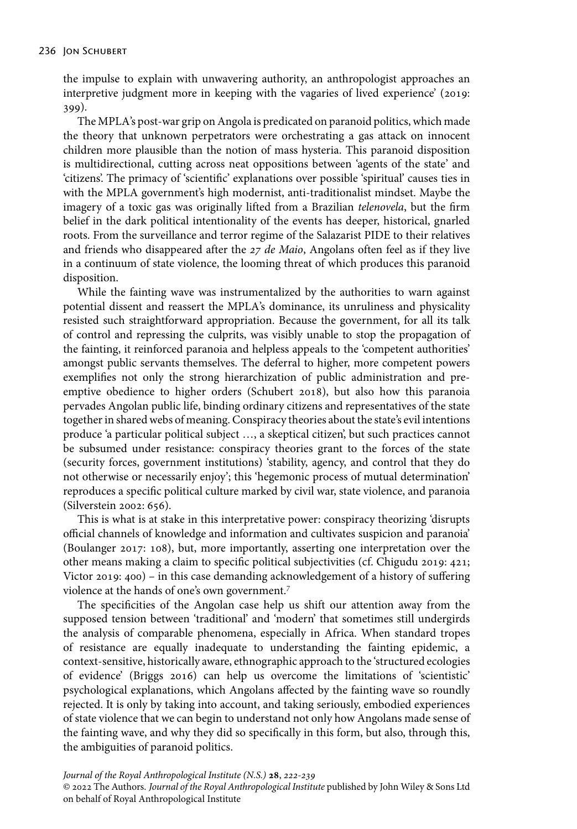the impulse to explain with unwavering authority, an anthropologist approaches an interpretive judgment more in keeping with the vagaries of lived experience' (2019: 399).

The MPLA's post-war grip on Angola is predicated on paranoid politics, which made the theory that unknown perpetrators were orchestrating a gas attack on innocent children more plausible than the notion of mass hysteria. This paranoid disposition is multidirectional, cutting across neat oppositions between 'agents of the state' and 'citizens'. The primacy of 'scientific' explanations over possible 'spiritual' causes ties in with the MPLA government's high modernist, anti-traditionalist mindset. Maybe the imagery of a toxic gas was originally lifted from a Brazilian *telenovela*, but the firm belief in the dark political intentionality of the events has deeper, historical, gnarled roots. From the surveillance and terror regime of the Salazarist PIDE to their relatives and friends who disappeared after the 27 de Maio, Angolans often feel as if they live in a continuum of state violence, the looming threat of which produces this paranoid disposition.

While the fainting wave was instrumentalized by the authorities to warn against potential dissent and reassert the MPLA's dominance, its unruliness and physicality resisted such straightforward appropriation. Because the government, for all its talk of control and repressing the culprits, was visibly unable to stop the propagation of the fainting, it reinforced paranoia and helpless appeals to the 'competent authorities' amongst public servants themselves. The deferral to higher, more competent powers exemplifies not only the strong hierarchization of public administration and preemptive obedience to higher orders (Schubert 2018), but also how this paranoia pervades Angolan public life, binding ordinary citizens and representatives of the state together in shared webs of meaning. Conspiracy theories about the state's evil intentions produce 'a particular political subject …, a skeptical citizen', but such practices cannot be subsumed under resistance: conspiracy theories grant to the forces of the state (security forces, government institutions) 'stability, agency, and control that they do not otherwise or necessarily enjoy'; this 'hegemonic process of mutual determination' reproduces a specific political culture marked by civil war, state violence, and paranoia (Silverstein 2002: 656).

This is what is at stake in this interpretative power: conspiracy theorizing 'disrupts official channels of knowledge and information and cultivates suspicion and paranoia' (Boulanger 2017: 108), but, more importantly, asserting one interpretation over the other means making a claim to specific political subjectivities (cf. Chigudu 2019: 421; Victor 2019: 400) – in this case demanding acknowledgement of a history of suffering violence at the hands of one's own government.<sup>7</sup>

The specificities of the Angolan case help us shift our attention away from the supposed tension between 'traditional' and 'modern' that sometimes still undergirds the analysis of comparable phenomena, especially in Africa. When standard tropes of resistance are equally inadequate to understanding the fainting epidemic, a context-sensitive, historically aware, ethnographic approach to the 'structured ecologies of evidence' (Briggs 2016) can help us overcome the limitations of 'scientistic' psychological explanations, which Angolans affected by the fainting wave so roundly rejected. It is only by taking into account, and taking seriously, embodied experiences of state violence that we can begin to understand not only how Angolans made sense of the fainting wave, and why they did so specifically in this form, but also, through this, the ambiguities of paranoid politics.

*Journal of the Royal Anthropological Institute (N.S.)* **28**, 222-239 © 2022 The Authors. *Journal of the Royal Anthropological Institute* published by John Wiley & Sons Ltd on behalf of Royal Anthropological Institute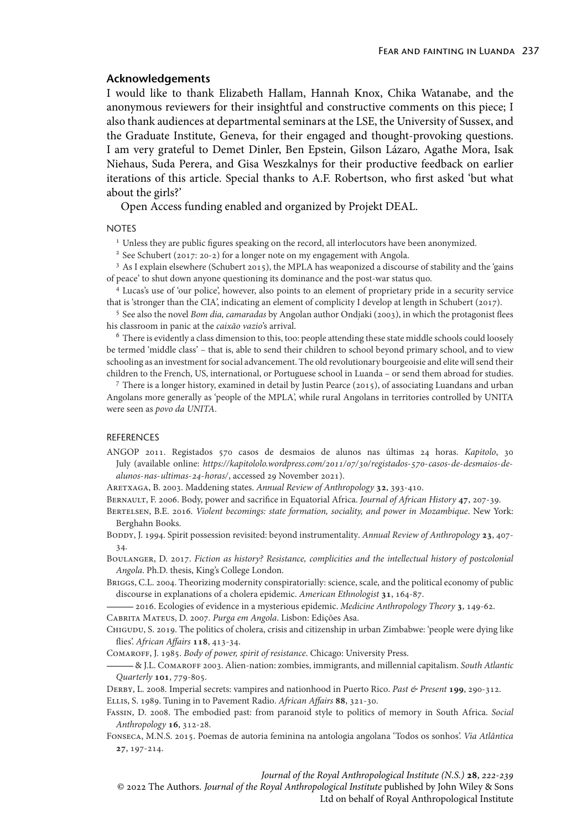#### **Acknowledgements**

I would like to thank Elizabeth Hallam, Hannah Knox, Chika Watanabe, and the anonymous reviewers for their insightful and constructive comments on this piece; I also thank audiences at departmental seminars at the LSE, the University of Sussex, and the Graduate Institute, Geneva, for their engaged and thought-provoking questions. I am very grateful to Demet Dinler, Ben Epstein, Gilson Lázaro, Agathe Mora, Isak Niehaus, Suda Perera, and Gisa Weszkalnys for their productive feedback on earlier iterations of this article. Special thanks to A.F. Robertson, who first asked 'but what about the girls?'

Open Access funding enabled and organized by Projekt DEAL.

#### **NOTES**

<sup>1</sup> Unless they are public figures speaking on the record, all interlocutors have been anonymized.

<sup>2</sup> See Schubert (2017: 20-2) for a longer note on my engagement with Angola.

<sup>3</sup> As I explain elsewhere (Schubert 2015), the MPLA has weaponized a discourse of stability and the 'gains of peace' to shut down anyone questioning its dominance and the post-war status quo.

<sup>4</sup> Lucas's use of 'our police', however, also points to an element of proprietary pride in a security service that is 'stronger than the CIA', indicating an element of complicity I develop at length in Schubert (2017).

<sup>5</sup> See also the novel *Bom dia, camaradas* by Angolan author Ondjaki (2003), in which the protagonist flees his classroom in panic at the *caixão vazio*'s arrival.

<sup>6</sup> There is evidently a class dimension to this, too: people attending these state middle schools could loosely be termed 'middle class' – that is, able to send their children to school beyond primary school, and to view schooling as an investment for social advancement. The old revolutionary bourgeoisie and elite will send their children to the French, US, international, or Portuguese school in Luanda – or send them abroad for studies.

<sup>7</sup> There is a longer history, examined in detail by Justin Pearce (2015), of associating Luandans and urban Angolans more generally as 'people of the MPLA', while rural Angolans in territories controlled by UNITA were seen as *povo da UNITA*.

## REFERENCES

ANGOP 2011. Registados 570 casos de desmaios de alunos nas últimas 24 horas. *Kapitolo*, 30 July (available online: https://kapitololo.wordpress.com/2011/07/30/registados-570-casos-de-desmaios-de*[alunos-nas-ultimas--horas/](https://kapitololo.wordpress.com/2011/07/30/registados-570-casos-de-desmaios-de-alunos-nas-ultimas-24-horas/)*, accessed 29 November 2021).

ARETXAGA, B. 2003. Maddening states. Annual Review of Anthropology 32, 393-410.

BERNAULT, F. 2006. Body, power and sacrifice in Equatorial Africa. *Journal of African History* 47, 207-39.

Bertelsen, B.E. 2016. *Violent becomings: state formation, sociality, and power in Mozambique*. New York: Berghahn Books.

- BODDY, J. 1994. Spirit possession revisited: beyond instrumentality. Annual Review of Anthropology 23, 407-34.
- Boulanger, D. 2017. *Fiction as history? Resistance, complicities and the intellectual history of postcolonial Angola*. Ph.D. thesis, King's College London.
- Briggs, C.L. 2004. Theorizing modernity conspiratorially: science, scale, and the political economy of public discourse in explanations of a cholera epidemic. *American Ethnologist* 31, 164-87.

- 2016. Ecologies of evidence in a mysterious epidemic. *Medicine Anthropology Theory* 3, 149-62.

Cabrita Mateus, D. 2007. *Purga em Angola*. Lisbon: Edições Asa.

Chigudu, S. 2019. The politics of cholera, crisis and citizenship in urban Zimbabwe: 'people were dying like flies'. *African Affairs* 118, 413-34.

Comaroff, J. 1985. *Body of power, spirit of resistance*. Chicago: University Press.

& J.L. Comaroff 2003. Alien-nation: zombies, immigrants, and millennial capitalism. *South Atlantic Quarterly* **101**, 779-805.

DERBY, L. 2008. Imperial secrets: vampires and nationhood in Puerto Rico. Past & Present 199, 290-312.

ELLIS, S. 1989. Tuning in to Pavement Radio. African Affairs 88, 321-30.

- Fassin, D. 2008. The embodied past: from paranoid style to politics of memory in South Africa. *Social Anthropology* **16**, 312-28.
- Fonseca, M.N.S. 2015. Poemas de autoria feminina na antologia angolana 'Todos os sonhos'. *Via Atlântica* , 197-214.

*Journal of the Royal Anthropological Institute (N.S.)* **28**, 222-239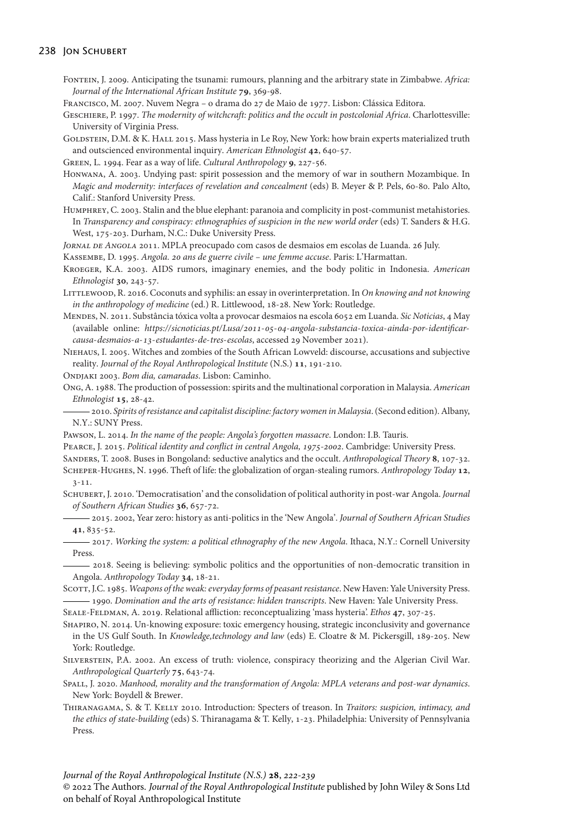#### 238 JON SCHUBERT

- Fontein, J. 2009. Anticipating the tsunami: rumours, planning and the arbitrary state in Zimbabwe. *Africa: Journal of the International African Institute* 79, 369-98.
- Francisco, M. 2007. Nuvem Negra *–* o drama do 27 de Maio de 1977. Lisbon: Clássica Editora.
- Geschiere, P. 1997. *The modernity of witchcraft: politics and the occult in postcolonial Africa*. Charlottesville: University of Virginia Press.
- GOLDSTEIN, D.M. & K. HALL 2015. Mass hysteria in Le Roy, New York: how brain experts materialized truth and outscienced environmental inquiry. *American Ethnologist* 42, 640-57.

GREEN, L. 1994. Fear as a way of life. *Cultural Anthropology* 9, 227-56.

- Honwana, A. 2003. Undying past: spirit possession and the memory of war in southern Mozambique. In *Magic and modernity: interfaces of revelation and concealment* (eds) B. Meyer & P. Pels, 60-80. Palo Alto, Calif.: Stanford University Press.
- Humphrey, C. 2003. Stalin and the blue elephant: paranoia and complicity in post-communist metahistories. In *Transparency and conspiracy: ethnographies of suspicion in the new world order* (eds) T. Sanders & H.G. West, 175-203. Durham, N.C.: Duke University Press.

*Jornal de Angola* 2011. MPLA preocupado com casos de desmaios em escolas de Luanda. 26 July.

- Kassembe, D. 1995. *Angola. ans de guerre civile une femme accuse*. Paris: L'Harmattan.
- Kroeger, K.A. 2003. AIDS rumors, imaginary enemies, and the body politic in Indonesia. *American Ethnologist* 30, 243-57.
- Littlewood, R. 2016. Coconuts and syphilis: an essay in overinterpretation. In *On knowing and not knowing in the anthropology of medicine* (ed.) R. Littlewood, 18-28. New York: Routledge.
- Mendes, N. 2011. Substância tóxica volta a provocar desmaios na escola 6052 em Luanda. *Sic Noticias*, 4 May (available online: https://sicnoticias.pt/Lusa/2011-05-04-angola-substancia-toxica-ainda-por-identificar*[causa-desmaios-a--estudantes-de-tres-escolas](https://sicnoticias.pt/Lusa/2011-05-04-angola-substancia-toxica-ainda-por-identificar-causa-desmaios-a-13-estudantes-de-tres-escolas)*, accessed 29 November 2021).
- Niehaus, I. 2005. Witches and zombies of the South African Lowveld: discourse, accusations and subjective reality. *Journal of the Royal Anthropological Institute* (N.S.) 11, 191-210.

Ondjaki 2003. *Bom dia, camaradas*. Lisbon: Caminho.

Ong, A. 1988. The production of possession: spirits and the multinational corporation in Malaysia. *American Ethnologist* 15, 28-42.

2010. *Spirits of resistance and capitalist discipline: factory women in Malaysia*. (Second edition). Albany, N.Y.: SUNY Press.

Pawson, L. 2014. *In the name of the people: Angola's forgotten massacre*. London: I.B. Tauris.

PEARCE, J. 2015. *Political identity and conflict in central Angola, 1975-2002*. Cambridge: University Press.

- SANDERS, T. 2008. Buses in Bongoland: seductive analytics and the occult. Anthropological Theory 8, 107-32. SCHEPER-HUGHES, N. 1996. Theft of life: the globalization of organ-stealing rumors. Anthropology Today 12, 3-11.
- Schubert, J. 2010. 'Democratisation' and the consolidation of political authority in post-war Angola. *Journal of Southern African Studies* , 657-72.
- 2015. 2002, Year zero: history as anti-politics in the 'New Angola'. *Journal of Southern African Studies* 41, 835-52.
- 2017. *Working the system: a political ethnography of the new Angola*. Ithaca, N.Y.: Cornell University Press.
- 2018. Seeing is believing: symbolic politics and the opportunities of non-democratic transition in Angola. Anthropology Today 34, 18-21.

Scott, J.C. 1985. *Weapons of the weak: everyday forms of peasant resistance*. New Haven: Yale University Press. 1990. *Domination and the arts of resistance: hidden transcripts*. New Haven: Yale University Press.

SEALE-FELDMAN, A. 2019. Relational affliction: reconceptualizing 'mass hysteria'. *Ethos* 47, 307-25.

Shapiro, N. 2014. Un-knowing exposure: toxic emergency housing, strategic inconclusivity and governance in the US Gulf South. In *Knowledge,technology and law* (eds) E. Cloatre & M. Pickersgill, 189-205. New York: Routledge.

Silverstein, P.A. 2002. An excess of truth: violence, conspiracy theorizing and the Algerian Civil War. *Anthropological Quarterly* 75, 643-74.

- Spall, J. 2020. *Manhood, morality and the transformation of Angola: MPLA veterans and post-war dynamics*. New York: Boydell & Brewer.
- THIRANAGAMA, S. & T. KELLY 2010. Introduction: Specters of treason. In *Traitors: suspicion, intimacy, and the ethics of state-building* (eds) S. Thiranagama & T. Kelly, 1-23. Philadelphia: University of Pennsylvania Press.

*Journal of the Royal Anthropological Institute (N.S.)* **28**, 222-239